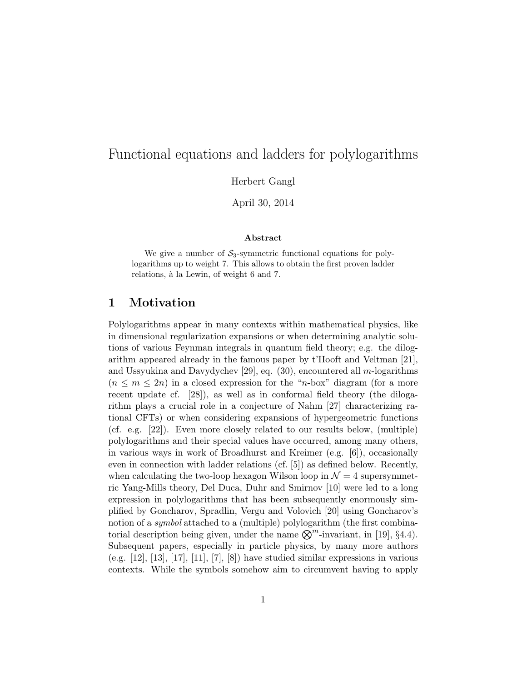# Functional equations and ladders for polylogarithms

Herbert Gangl

April 30, 2014

#### Abstract

We give a number of  $S_3$ -symmetric functional equations for polylogarithms up to weight 7. This allows to obtain the first proven ladder relations, à la Lewin, of weight 6 and 7.

## 1 Motivation

Polylogarithms appear in many contexts within mathematical physics, like in dimensional regularization expansions or when determining analytic solutions of various Feynman integrals in quantum field theory; e.g. the dilogarithm appeared already in the famous paper by t'Hooft and Veltman [21], and Ussyukina and Davydychev [29], eq. (30), encountered all m-logarithms  $(n \leq m \leq 2n)$  in a closed expression for the "n-box" diagram (for a more recent update cf. [28]), as well as in conformal field theory (the dilogarithm plays a crucial role in a conjecture of Nahm [27] characterizing rational CFTs) or when considering expansions of hypergeometric functions (cf. e.g. [22]). Even more closely related to our results below, (multiple) polylogarithms and their special values have occurred, among many others, in various ways in work of Broadhurst and Kreimer (e.g. [6]), occasionally even in connection with ladder relations (cf. [5]) as defined below. Recently, when calculating the two-loop hexagon Wilson loop in  $\mathcal{N}=4$  supersymmetric Yang-Mills theory, Del Duca, Duhr and Smirnov [10] were led to a long expression in polylogarithms that has been subsequently enormously simplified by Goncharov, Spradlin, Vergu and Volovich [20] using Goncharov's notion of a *symbol* attached to a (multiple) polylogarithm (the first combinatorial description being given, under the name  $\mathcal{R}^m$ -invariant, in [19], §4.4). Subsequent papers, especially in particle physics, by many more authors (e.g. [12], [13], [17], [11], [7], [8]) have studied similar expressions in various contexts. While the symbols somehow aim to circumvent having to apply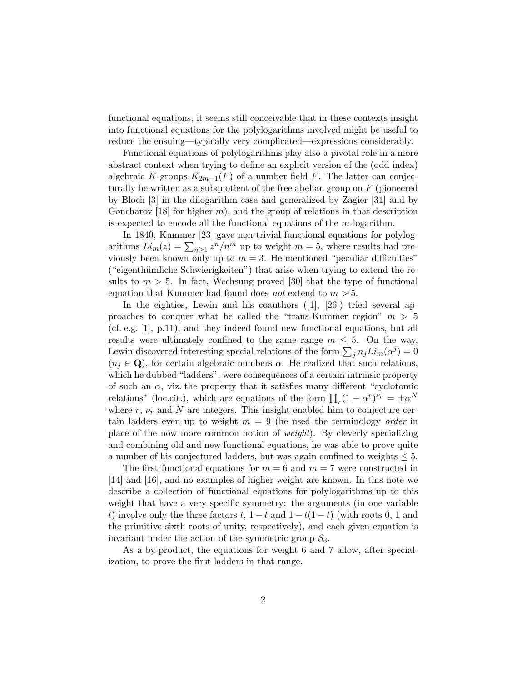functional equations, it seems still conceivable that in these contexts insight into functional equations for the polylogarithms involved might be useful to reduce the ensuing—typically very complicated—expressions considerably.

Functional equations of polylogarithms play also a pivotal role in a more abstract context when trying to define an explicit version of the (odd index) algebraic K-groups  $K_{2m-1}(F)$  of a number field F. The latter can conjecturally be written as a subquotient of the free abelian group on  $F$  (pioneered by Bloch [3] in the dilogarithm case and generalized by Zagier [31] and by Goncharov [18] for higher m), and the group of relations in that description is expected to encode all the functional equations of the m-logarithm.

In 1840, Kummer [23] gave non-trivial functional equations for polylogarithms  $Li_m(z) = \sum_{n\geq 1} z^n/n^m$  up to weight  $m = 5$ , where results had previously been known only up to  $m = 3$ . He mentioned "peculiar difficulties" ("eigenthümliche Schwierigkeiten") that arise when trying to extend the results to  $m > 5$ . In fact, Wechsung proved [30] that the type of functional equation that Kummer had found does *not* extend to  $m > 5$ .

In the eighties, Lewin and his coauthors ([1], [26]) tried several approaches to conquer what he called the "trans-Kummer region"  $m > 5$ (cf. e.g. [1], p.11), and they indeed found new functional equations, but all results were ultimately confined to the same range  $m \leq 5$ . On the way, Lewin discovered interesting special relations of the form  $\sum_j n_j L i_m(\alpha^j) = 0$  $(n_i \in \mathbf{Q})$ , for certain algebraic numbers  $\alpha$ . He realized that such relations, which he dubbed "ladders", were consequences of a certain intrinsic property of such an  $\alpha$ , viz. the property that it satisfies many different "cyclotomic relations" (loc.cit.), which are equations of the form  $\prod_r (1 - \alpha^r)^{\nu_r} = \pm \alpha^N$ where  $r, \nu_r$  and N are integers. This insight enabled him to conjecture certain ladders even up to weight  $m = 9$  (he used the terminology *order* in place of the now more common notion of weight). By cleverly specializing and combining old and new functional equations, he was able to prove quite a number of his conjectured ladders, but was again confined to weights  $\leq 5$ .

The first functional equations for  $m = 6$  and  $m = 7$  were constructed in [14] and [16], and no examples of higher weight are known. In this note we describe a collection of functional equations for polylogarithms up to this weight that have a very specific symmetry: the arguments (in one variable t) involve only the three factors t,  $1 - t$  and  $1 - t(1 - t)$  (with roots 0, 1 and the primitive sixth roots of unity, respectively), and each given equation is invariant under the action of the symmetric group  $S_3$ .

As a by-product, the equations for weight 6 and 7 allow, after specialization, to prove the first ladders in that range.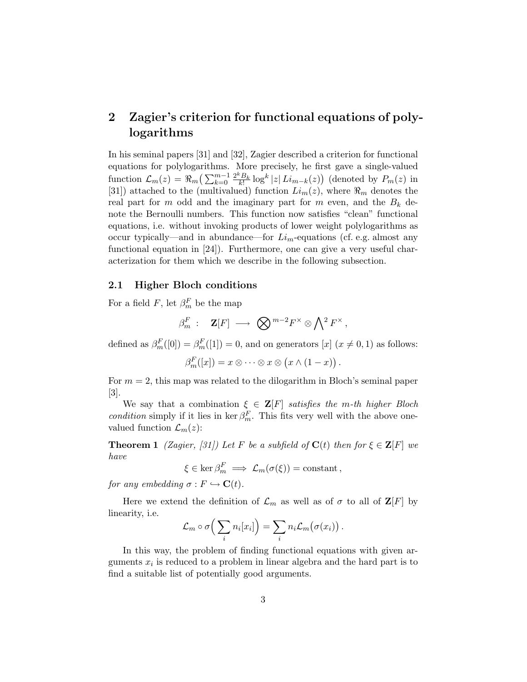# 2 Zagier's criterion for functional equations of polylogarithms

In his seminal papers [31] and [32], Zagier described a criterion for functional equations for polylogarithms. More precisely, he first gave a single-valued function  $\mathcal{L}_m(z) = \Re_m \left( \sum_{k=0}^{m-1} \mathcal{L}_k \right)$  $\frac{2^k B_k}{k!} \log^k |z| \, Li_{m-k}(z)$  (denoted by  $P_m(z)$  in [31]) attached to the (multivalued) function  $Li_m(z)$ , where  $\Re_m$  denotes the real part for m odd and the imaginary part for m even, and the  $B_k$  denote the Bernoulli numbers. This function now satisfies "clean" functional equations, i.e. without invoking products of lower weight polylogarithms as occur typically—and in abundance—for  $Li_m$ -equations (cf. e.g. almost any functional equation in [24]). Furthermore, one can give a very useful characterization for them which we describe in the following subsection.

#### 2.1 Higher Bloch conditions

For a field  $F$ , let  $\beta_m^F$  be the map

$$
\beta_m^F\ :\quad {\mathbf Z} [F]\ \longrightarrow\ \bigotimes {^{m-2}F^\times} \otimes \bigwedge\nolimits^2 F^\times\, ,
$$

defined as  $\beta_m^F([0]) = \beta_m^F([1]) = 0$ , and on generators  $[x]$   $(x \neq 0, 1)$  as follows:

$$
\beta_m^F([x]) = x \otimes \cdots \otimes x \otimes (x \wedge (1-x)).
$$

For  $m = 2$ , this map was related to the dilogarithm in Bloch's seminal paper [3].

We say that a combination  $\xi \in \mathbf{Z}[F]$  satisfies the m-th higher Bloch condition simply if it lies in ker  $\beta_m^F$ . This fits very well with the above onevalued function  $\mathcal{L}_m(z)$ :

**Theorem 1** (Zagier, [31]) Let F be a subfield of  $\mathbf{C}(t)$  then for  $\xi \in \mathbf{Z}[F]$  we have

$$
\xi \in \ker \beta_m^F \implies \mathcal{L}_m(\sigma(\xi)) = \text{constant},
$$

for any embedding  $\sigma : F \hookrightarrow \mathbf{C}(t)$ .

Here we extend the definition of  $\mathcal{L}_m$  as well as of  $\sigma$  to all of  $\mathbf{Z}[F]$  by linearity, i.e.

$$
\mathcal{L}_m \circ \sigma \Big( \sum_i n_i [x_i] \Big) = \sum_i n_i \mathcal{L}_m \big( \sigma(x_i) \big) .
$$

In this way, the problem of finding functional equations with given arguments  $x_i$  is reduced to a problem in linear algebra and the hard part is to find a suitable list of potentially good arguments.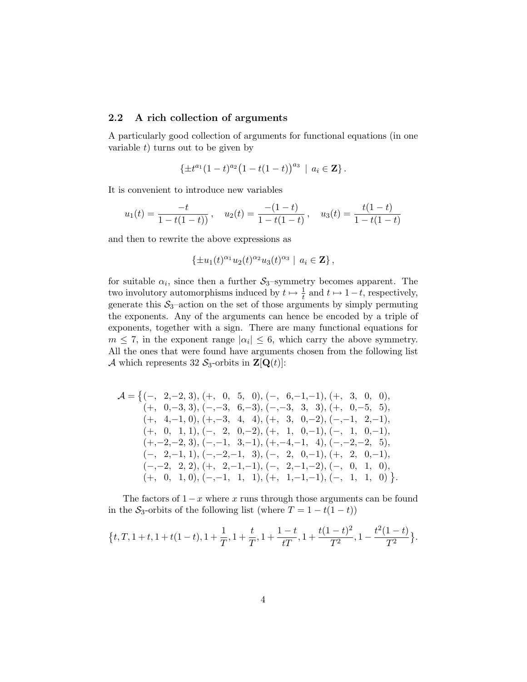#### 2.2 A rich collection of arguments

A particularly good collection of arguments for functional equations (in one variable  $t$ ) turns out to be given by

$$
\{\pm t^{a_1}(1-t)^{a_2}(1-t(1-t))^{a_3}\,\mid\, a_i\in\mathbf{Z}\}\,.
$$

It is convenient to introduce new variables

$$
u_1(t) = \frac{-t}{1 - t(1 - t)}, \quad u_2(t) = \frac{-(1 - t)}{1 - t(1 - t)}, \quad u_3(t) = \frac{t(1 - t)}{1 - t(1 - t)}
$$

and then to rewrite the above expressions as

$$
\{\pm u_1(t)^{\alpha_1}u_2(t)^{\alpha_2}u_3(t)^{\alpha_3} \mid a_i \in \mathbf{Z}\},\
$$

for suitable  $\alpha_i$ , since then a further  $S_3$ -symmetry becomes apparent. The two involutory automorphisms induced by  $t \mapsto \frac{1}{t}$  and  $t \mapsto 1-t$ , respectively, generate this  $S_3$ -action on the set of those arguments by simply permuting the exponents. Any of the arguments can hence be encoded by a triple of exponents, together with a sign. There are many functional equations for  $m \leq 7$ , in the exponent range  $|\alpha_i| \leq 6$ , which carry the above symmetry. All the ones that were found have arguments chosen from the following list A which represents 32  $S_3$ -orbits in  $\mathbf{Z}[\mathbf{Q}(t)]$ :

$$
\mathcal{A} = \{ (-, 2, -2, 3), (+, 0, 5, 0), (-, 6, -1, -1), (+, 3, 0, 0),\n (+, 0, -3, 3), (-, -3, 6, -3), (-, -3, 3, 3), (+, 0, -5, 5),\n (+, 4, -1, 0), (+, -3, 4, 4), (+, 3, 0, -2), (-, -1, 2, -1),\n (+, 0, 1, 1), (-, 2, 0, -2), (+, 1, 0, -1), (-, 1, 0, -1),\n (+, -2, -2, 3), (-, -1, 3, -1), (+, -4, -1, 4), (-, -2, -2, 5),\n (-, 2, -1, 1), (-, -2, -1, 3), (-, 2, 0, -1), (+, 2, 0, -1),\n (-, -2, 2, 2), (+, 2, -1, -1), (-, 2, -1, -2), (-, 0, 1, 0),\n (+, 0, 1, 0), (-, -1, 1, 1), (+, 1, -1, -1), (-, 1, 1, 0) \}.
$$

The factors of  $1-x$  where x runs through those arguments can be found in the  $S_3$ -orbits of the following list (where  $T = 1 - t(1 - t)$ )

$$
\big\{t, T, 1+t, 1+t(1-t), 1+\frac{1}{T}, 1+\frac{t}{T}, 1+\frac{1-t}{tT}, 1+\frac{t(1-t)^2}{T^2}, 1-\frac{t^2(1-t)}{T^2}\big\}.
$$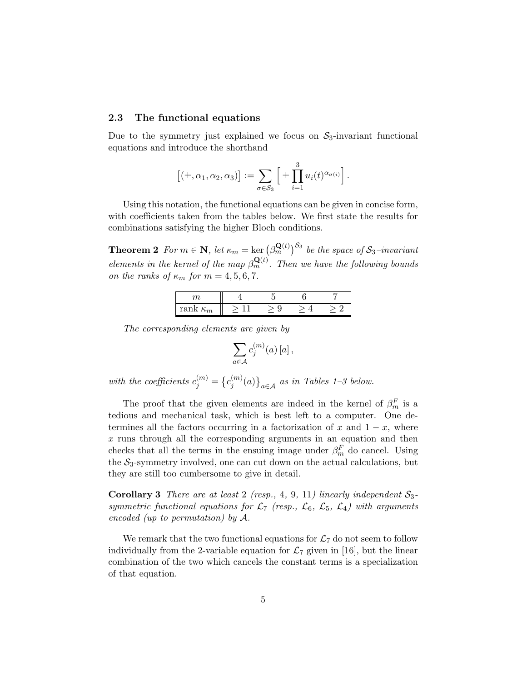#### 2.3 The functional equations

Due to the symmetry just explained we focus on  $S_3$ -invariant functional equations and introduce the shorthand

$$
[(\pm,\alpha_1,\alpha_2,\alpha_3)] := \sum_{\sigma \in S_3} \left[ \pm \prod_{i=1}^3 u_i(t)^{\alpha_{\sigma(i)}} \right].
$$

Using this notation, the functional equations can be given in concise form, with coefficients taken from the tables below. We first state the results for combinations satisfying the higher Bloch conditions.

**Theorem 2** For  $m \in \mathbb{N}$ , let  $\kappa_m = \ker \left( \beta_m^{\mathbf{Q}(t)} \right)^{\mathcal{S}_3}$  be the space of  $\mathcal{S}_3$ -invariant elements in the kernel of the map  $\beta_m^{\mathbf{Q}(t)}$ . Then we have the following bounds on the ranks of  $\kappa_m$  for  $m = 4, 5, 6, 7$ .

| rank<br>$\mathbf{r}$<br>$n_m$ |  |  |
|-------------------------------|--|--|

The corresponding elements are given by

$$
\sum_{a\in\mathcal{A}}c_j^{(m)}(a)\,[a]\,,
$$

with the coefficients  $c_j^{(m)} = \{c_j^{(m)}\}$  $\binom{m}{j}(a)$ <sub>a∈A</sub> as in Tables 1–3 below.

The proof that the given elements are indeed in the kernel of  $\beta_m^F$  is a tedious and mechanical task, which is best left to a computer. One determines all the factors occurring in a factorization of x and  $1 - x$ , where  $x$  runs through all the corresponding arguments in an equation and then checks that all the terms in the ensuing image under  $\beta_m^F$  do cancel. Using the  $S_3$ -symmetry involved, one can cut down on the actual calculations, but they are still too cumbersome to give in detail.

**Corollary 3** There are at least 2 (resp., 4, 9, 11) linearly independent  $S_3$ symmetric functional equations for  $\mathcal{L}_7$  (resp.,  $\mathcal{L}_6$ ,  $\mathcal{L}_5$ ,  $\mathcal{L}_4$ ) with arguments encoded (up to permutation) by A.

We remark that the two functional equations for  $\mathcal{L}_7$  do not seem to follow individually from the 2-variable equation for  $\mathcal{L}_7$  given in [16], but the linear combination of the two which cancels the constant terms is a specialization of that equation.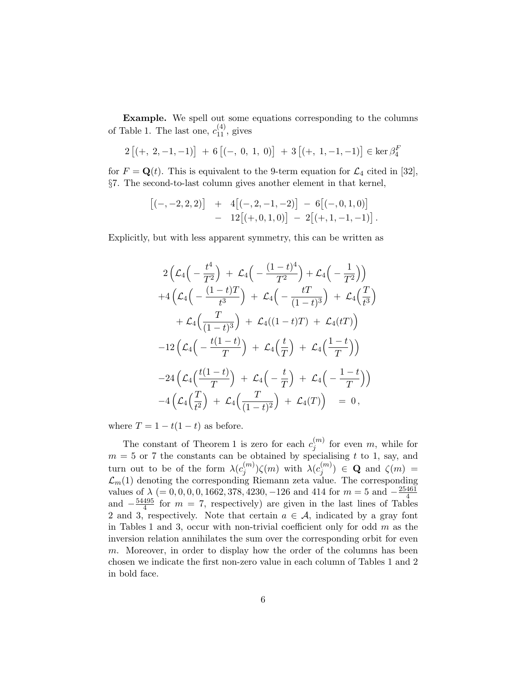Example. We spell out some equations corresponding to the columns of Table 1. The last one,  $c_{11}^{(4)}$ , gives

$$
2 [(+, 2, -1, -1)] + 6 [(-, 0, 1, 0)] + 3 [(+, 1, -1, -1)] \in \ker \beta_4^F
$$

for  $F = \mathbf{Q}(t)$ . This is equivalent to the 9-term equation for  $\mathcal{L}_4$  cited in [32], §7. The second-to-last column gives another element in that kernel,

$$
\begin{array}{rcl} \left[(-,-2,2,2)\right] & + & 4\big[(-,2,-1,-2)\big] & - & 6\big[(-,0,1,0)\big] \\ & - & 12\big[(+,0,1,0)\big] & - & 2\big[(+,1,-1,-1)\big] \, .\end{array}
$$

Explicitly, but with less apparent symmetry, this can be written as

$$
2\left(\mathcal{L}_4\left(-\frac{t^4}{T^2}\right) + \mathcal{L}_4\left(-\frac{(1-t)^4}{T^2}\right) + \mathcal{L}_4\left(-\frac{1}{T^2}\right)\right) +4\left(\mathcal{L}_4\left(-\frac{(1-t)T}{t^3}\right) + \mathcal{L}_4\left(-\frac{tT}{(1-t)^3}\right) + \mathcal{L}_4\left(\frac{T}{t^3}\right) + \mathcal{L}_4\left(\frac{T}{(1-t)^3}\right) + \mathcal{L}_4((1-t)T) + \mathcal{L}_4(tT)\right) -12\left(\mathcal{L}_4\left(-\frac{t(1-t)}{T}\right) + \mathcal{L}_4\left(\frac{t}{T}\right) + \mathcal{L}_4\left(\frac{1-t}{T}\right)\right) -24\left(\mathcal{L}_4\left(\frac{t(1-t)}{T}\right) + \mathcal{L}_4\left(-\frac{t}{T}\right) + \mathcal{L}_4\left(-\frac{1-t}{T}\right)\right) -4\left(\mathcal{L}_4\left(\frac{T}{t^2}\right) + \mathcal{L}_4\left(\frac{T}{(1-t)^2}\right) + \mathcal{L}_4(T)\right) = 0,
$$

where  $T = 1 - t(1 - t)$  as before.

The constant of Theorem 1 is zero for each  $c_i^{(m)}$  $j^{(m)}$  for even m, while for  $m = 5$  or 7 the constants can be obtained by specialising t to 1, say, and turn out to be of the form  $\lambda(c_i^{(m)})$  $j^{(m)}$ )ζ(m) with  $\lambda(c_j^{(m)})$  $\zeta^{(m)}_j$   $\in$  **Q** and  $\zeta(m)$  =  $\mathcal{L}_m(1)$  denoting the corresponding Riemann zeta value. The corresponding values of  $\lambda$  (= 0, 0, 0, 0, 1662, 378, 4230, -126 and 414 for  $m = 5$  and  $-\frac{25461}{4}$ 4 and  $-\frac{54495}{4}$  $\frac{495}{4}$  for  $m = 7$ , respectively) are given in the last lines of Tables 2 and 3, respectively. Note that certain  $a \in \mathcal{A}$ , indicated by a gray font in Tables 1 and 3, occur with non-trivial coefficient only for odd  $m$  as the inversion relation annihilates the sum over the corresponding orbit for even m. Moreover, in order to display how the order of the columns has been chosen we indicate the first non-zero value in each column of Tables 1 and 2 in bold face.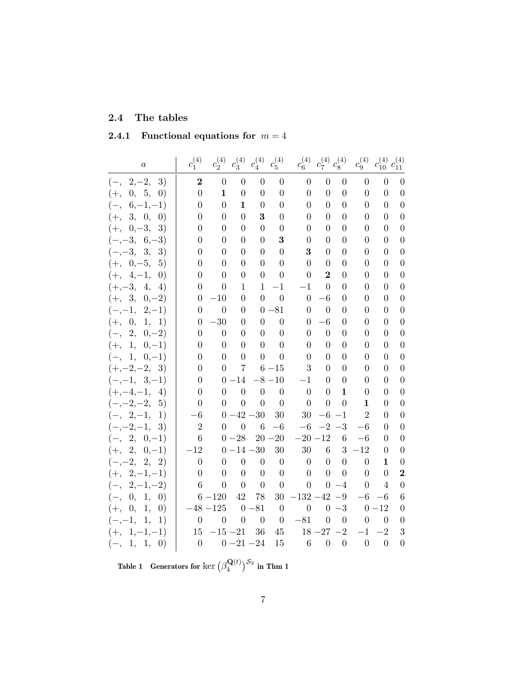## 2.4 The tables

|  | 2.4.1 Functional equations for $m=4$ |  |  |  |
|--|--------------------------------------|--|--|--|
|--|--------------------------------------|--|--|--|

| $\boldsymbol{a}$                 | $c_1^{(4)}$      | $c_2^{(4)}$      | $c^{(4)}_3$      | $c_4^{(4)}$      | $c_5^{(4)}$      | $c_6^{(4)}$      | $c^{(4)}_{7} \; c^{(4)}_{8}$ |                  | $c_9^{(4)}$      | $c_{10}^{(4)}$   | $c_{11}^{(4)}$   |
|----------------------------------|------------------|------------------|------------------|------------------|------------------|------------------|------------------------------|------------------|------------------|------------------|------------------|
| $(-, 2,-2,$<br>3)                | $\boldsymbol{2}$ | $\boldsymbol{0}$ | $\overline{0}$   | $\overline{0}$   | $\boldsymbol{0}$ | $\boldsymbol{0}$ | $\overline{0}$               | $\theta$         | $\theta$         | $\overline{0}$   | $\theta$         |
| $(+, 0, 5, 0)$                   | $\overline{0}$   | $\mathbf 1$      | $\overline{0}$   | $\boldsymbol{0}$ | $\overline{0}$   | 0                | $\overline{0}$               | $\overline{0}$   | $\theta$         | $\overline{0}$   | $\boldsymbol{0}$ |
| $(-, 6,-1,-1)$                   | 0                | $\overline{0}$   | 1                | $\overline{0}$   | $\boldsymbol{0}$ | 0                | $\overline{0}$               | $\overline{0}$   | 0                | $\overline{0}$   | $\boldsymbol{0}$ |
| $(+, 3, 0, 0)$                   | 0                | $\overline{0}$   | $\overline{0}$   | 3                | $\boldsymbol{0}$ | 0                | 0                            | $\overline{0}$   | $\overline{0}$   | $\overline{0}$   | $\boldsymbol{0}$ |
| $(+, 0,-3,$<br>3)                | 0                | 0                | 0                | $\boldsymbol{0}$ | 0                | 0                | $\overline{0}$               | $\Omega$         | 0                | $\overline{0}$   | $\boldsymbol{0}$ |
| $(-,-3, 6,-3)$                   | 0                | $\overline{0}$   | 0                | $\theta$         | 3                | 0                | $\overline{0}$               | $\theta$         | 0                | $\overline{0}$   | $\boldsymbol{0}$ |
| $(-,-3, 3,$<br>3)                | 0                | 0                | 0                | 0                | $\overline{0}$   | 3                | 0                            | $\overline{0}$   | 0                | 0                | $\boldsymbol{0}$ |
| $(+, 0, -5, 5)$                  | $\overline{0}$   | $\overline{0}$   | 0                | $\theta$         | $\boldsymbol{0}$ | $\overline{0}$   | $\overline{0}$               | 0                | 0                | $\overline{0}$   | $\boldsymbol{0}$ |
| $(+, 4,-1,$<br>$\left( 0\right)$ | 0                | $\overline{0}$   | 0                | $\boldsymbol{0}$ | $\boldsymbol{0}$ | $\overline{0}$   | $\overline{2}$               | $\overline{0}$   | $\overline{0}$   | $\overline{0}$   | $\theta$         |
| $(+,-3, 4, 4)$                   | 0                | $\theta$         | 1                | $\mathbf{1}$     | $-1$             | $-1$             | $\theta$                     | 0                | 0                | $\theta$         | $\overline{0}$   |
| $(+, 3, 0,-2)$                   | $\theta$         | $-10$            | 0                | $\theta$         | $\overline{0}$   | $\overline{0}$   | $-6$                         | 0                | 0                | $\theta$         | $\overline{0}$   |
| $(-,-1, 2,-1)$                   | $\theta$         | $\overline{0}$   | $\theta$         |                  | $0 - 81$         | 0                | $\overline{0}$               | 0                | $\theta$         | 0                | $\theta$         |
| $(+, 0, 1, 1)$                   | 0                | $-30$            | $\theta$         | $\theta$         | $\overline{0}$   | $\theta$         | $^{-6}$                      | 0                | 0                | 0                | $\theta$         |
| $(-, 2, 0,-2)$                   | $\theta$         | $\boldsymbol{0}$ | $\overline{0}$   | $\overline{0}$   | $\boldsymbol{0}$ | 0                | $\overline{0}$               | 0                | 0                | 0                | $\theta$         |
| $(+, 1, 0,-1)$                   | 0                | $\theta$         | 0                | $\theta$         | $\overline{0}$   | 0                | $\overline{0}$               | 0                | 0                | 0                | $\overline{0}$   |
| $(-, 1, 0,-1)$                   | 0                | $\overline{0}$   | $\theta$         | $\theta$         | $\boldsymbol{0}$ | 0                | $\theta$                     | 0                | 0                | 0                | $\overline{0}$   |
| $(+,-2,-2, 3)$                   | $\theta$         | $\overline{0}$   | 7                |                  | $6 - 15$         | 3                | $\overline{0}$               | 0                | $\theta$         | 0                | $\boldsymbol{0}$ |
| $(-,-1, 3,-1)$                   | $\overline{0}$   |                  | $0 - 14$         |                  | $-8 - 10$        | $-1$             | 0                            | 0                | 0                | 0                | $\theta$         |
| $(+,-4,-1, 4)$                   | $\theta$         | $\overline{0}$   | $\overline{0}$   | $\boldsymbol{0}$ | $\theta$         | $\overline{0}$   | $\overline{0}$               | 1                | $\overline{0}$   | $\overline{0}$   | $\theta$         |
| $(-,-2,-2,-5)$                   | $\overline{0}$   | $\overline{0}$   | $\overline{0}$   | $\overline{0}$   | $\overline{0}$   | $\overline{0}$   | $\overline{0}$               | $\overline{0}$   | 1                | $\overline{0}$   | $\overline{0}$   |
| $(-, 2,-1, 1)$                   | $-6$             |                  | $0 - 42 - 30$    |                  | 30               | $30\,$           | $-6$                         | $-1$             | $\overline{2}$   | 0                | $\overline{0}$   |
| $(-,-2,-1, 3)$                   | $\overline{2}$   | $\boldsymbol{0}$ | $\boldsymbol{0}$ | $\,6\,$          | $-6$             | $-6$             |                              | $-2 -3$          | $-6$             | 0                | $\boldsymbol{0}$ |
| $(-, 2, 0,-1)$                   | 6                |                  | $0 - 28$         |                  | $20 - 20$        | $-20 - 12$       |                              | 6                | $-6$             | 0                | $\boldsymbol{0}$ |
| $(+, 2, 0,-1)$                   | $-12$            |                  | $0 - 14 - 30$    |                  | 30               | 30               | $\,6\,$                      |                  | $3 -12$          | 0                | $\boldsymbol{0}$ |
| $(-,-2, 2, 2)$                   | $\boldsymbol{0}$ | $\boldsymbol{0}$ | $\overline{0}$   | $\boldsymbol{0}$ | $\theta$         | $\overline{0}$   | $\boldsymbol{0}$             | $\overline{0}$   | $\boldsymbol{0}$ | 1                | $\boldsymbol{0}$ |
| $(+, 2,-1,-1)$                   | $\overline{0}$   | $\boldsymbol{0}$ | $\overline{0}$   | $\boldsymbol{0}$ | $\boldsymbol{0}$ | $\boldsymbol{0}$ | $\overline{0}$               | $\overline{0}$   | $\boldsymbol{0}$ | $\overline{0}$   | $\overline{2}$   |
| $(-, 2,-1,-2)$                   | 6                | $\overline{0}$   | $\theta$         | $\overline{0}$   | $\theta$         | $\overline{0}$   | $\boldsymbol{0}$             | $-4$             | 0                | 4                | $\theta$         |
| $(-, 0, 1, 0)$                   |                  | $6 - 120$        | 42               | 78               | 30               | $-132 - 42 - 9$  |                              |                  | $-6$             | $-6$             | 6                |
| $(+, 0, 1, 0)$                   |                  | $-48 - 125$      |                  | $0 - 81$         | $\theta$         | $\overline{0}$   |                              | $0 -3$           |                  | $0 - 12$         | $\theta$         |
| $(-,-1,$<br>1)<br>1,             | $\boldsymbol{0}$ | $\boldsymbol{0}$ | $\overline{0}$   | $\overline{0}$   | $\boldsymbol{0}$ | $-81$            | $\overline{0}$               | $\overline{0}$   | $\theta$         | $\overline{0}$   | $\theta$         |
| $(+, 1, -1, -1)$                 | 15               | $-15 - 21$       |                  | 36               | 45               |                  | $18 - 27 - 2$                |                  | $-1$             | $-2$             | 3                |
| $(-, 1, 1,$<br>$\left( 0\right)$ | $\boldsymbol{0}$ | $0 - 21 - 24$    |                  |                  | 15               | $6\phantom{.}6$  | $\boldsymbol{0}$             | $\boldsymbol{0}$ | $\boldsymbol{0}$ | $\boldsymbol{0}$ | $\boldsymbol{0}$ |

Table 1 Generators for  $\ker\big(\beta_A^{\mathbf{Q}(t)}\big)$  $\binom{\mathbf{Q}(t)}{4}$ S3 in Thm 1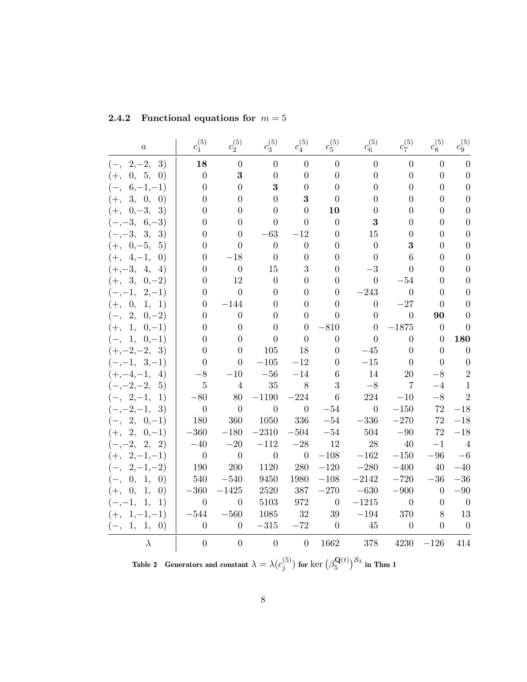| $\boldsymbol{a}$                 | $c^{(5)}_1$              | $c_2^{(5)}$              | $c_3^{(5)}$      | $c_4^{(5)}$              | $c_5^{(5)}$      | $c_6^{(5)}$    | $c_7^{(5)}$      | $c_8^{(5)}$      | $c_9^{(5)}$              |
|----------------------------------|--------------------------|--------------------------|------------------|--------------------------|------------------|----------------|------------------|------------------|--------------------------|
| $(-, 2,-2,$<br>3)                | 18                       | $\overline{0}$           | $\overline{0}$   | $\boldsymbol{0}$         | $\overline{0}$   | $\overline{0}$ | $\overline{0}$   | $\overline{0}$   | $\theta$                 |
| $(+, 0, 5, 0)$                   | $\boldsymbol{0}$         | $\bf{3}$                 | $\overline{0}$   | $\overline{0}$           | $\overline{0}$   | $\overline{0}$ | $\overline{0}$   | $\overline{0}$   | $\overline{0}$           |
| $(-, 6,-1,-1)$                   | $\overline{0}$           | $\Omega$                 | 3                | $\overline{0}$           | $\Omega$         | $\Omega$       | 0                | $\Omega$         | $\overline{0}$           |
| $(+, 3, 0, 0)$                   | $\theta$                 | 0                        | 0                | 3                        | 0                | $\theta$       | 0                | 0                | $\boldsymbol{0}$         |
| $(+, 0, -3, 3)$                  | 0                        | 0                        | 0                | $\theta$                 | 10               | $\theta$       | $\theta$         | 0                | 0                        |
| $(-,-3, 6,-3)$                   | 0                        | 0                        | 0                | $\Omega$                 | $\theta$         | 3              | $\theta$         | $\theta$         | $\theta$                 |
| $(-,-3, 3,$<br>3)                | 0                        | $\theta$                 | $-63$            | $-12$                    | 0                | 15             | 0                | 0                | 0                        |
| $(+, 0,-5,$<br>5)                | 0                        | $\Omega$                 | $\theta$         | $\overline{0}$           | 0                | $\theta$       | 3                | 0                | $\theta$                 |
| $(+, 4,-1,$<br>$\left( 0\right)$ | 0                        | $-18$                    | $\boldsymbol{0}$ | $\Omega$                 | $\Omega$         | $\theta$       | 6                | 0                | $\boldsymbol{0}$         |
| $(+,-3, 4, 4)$                   | $\overline{0}$           | $\theta$                 | 15               | 3                        | 0                | $-3$           | 0                | 0                | $\boldsymbol{0}$         |
| $(+, 3, 0,-2)$                   | 0                        | 12                       | $\boldsymbol{0}$ | $\theta$                 | 0                | $\overline{0}$ | $-54$            | 0                | $\boldsymbol{0}$         |
| $(-,-1,$<br>$2,-1)$              | 0                        | $\overline{0}$           | 0                | $\theta$                 | 0                | $-243$         | $\overline{0}$   | 0                | $\theta$                 |
| $\theta$ ,<br>1, 1)<br>$(+,$     | 0                        | $-144$                   | $\theta$         | $\Omega$                 | 0                | $\overline{0}$ | $-27$            | 0                | $\theta$                 |
| $(-, 2,$<br>$0,-2)$              | 0                        | $\overline{0}$           | 0                | $\Omega$                 | 0                | $\theta$       | $\overline{0}$   | 90               | $\theta$                 |
| 1,<br>$(+,$<br>$0,-1)$           | $\theta$                 | $\theta$                 | 0                | $\boldsymbol{0}$         | $-810$           | $\overline{0}$ | $-1875$          | $\boldsymbol{0}$ | $\overline{0}$           |
| $(-, 1, 0,-1)$                   | 0                        | $\theta$                 | $\theta$         | $\overline{0}$           | $\theta$         | $\theta$       | $\overline{0}$   | $\theta$         | 180                      |
| $(+,-2,-2,-3)$                   | 0                        | $\overline{0}$           | 105              | 18                       | 0                | $-45$          | $\overline{0}$   | $\overline{0}$   | $\theta$                 |
| $(-,-1, 3,-1)$                   | $\Omega$                 | $\theta$                 | $-105$           | $-12$                    | $\theta$         | $-15$          | $\overline{0}$   | $\overline{0}$   | $\theta$                 |
| $(+,-4,-1,$<br>4)                | $-8$                     | $-10$                    | $-56$            | $-14$                    | 6                | 14             | 20               | $-8$             | $\overline{2}$           |
| $(-,-2,-2,$<br>5)                | $\overline{5}$           | $\overline{4}$           | 35               | $8\,$                    | 3                | $-8$           | $\overline{7}$   | $-4$             | 1                        |
| $(-, 2,-1,$<br>1)                | $-80$                    | 80                       | $-1190$          | $-224$                   | $6\phantom{.}6$  | $224\,$        | $-10$            | $-8$             | $\overline{2}$           |
| $(-,-2,-1, 3)$                   | $\overline{0}$           | $\overline{0}$           | $\boldsymbol{0}$ | $\boldsymbol{0}$         | $-54$            | $\overline{0}$ | $-150$           | 72               | $-18$                    |
| $(-, 2, 0,-1)$                   | 180                      | 360                      | 1050             | 336                      | $-54$            | $-336$         | $-270$           | 72               | $-18$                    |
| $(+, 2, 0,-1)$                   | $-360$                   | $-180$                   | $-2310$          | $-504$                   | $-54$            | 504            | $-90$            | 72               | $-18$                    |
| $(-,-2, 2, 2)$                   | $-40$                    | $-20$                    | $-112$           | $-28\,$                  | 12               | 28             | 40               | $-1$             | $\overline{4}$           |
| $(+, 2,-1,-1)$                   | $\overline{\phantom{0}}$ | $\overline{\phantom{0}}$ | $\overline{0}$   | $\overline{\phantom{0}}$ | $-108$           | $-162$         | $-150\,$         | $-96$            | $-6$                     |
| $(-, 2,-1,-2)$                   | 190                      | 200                      | 1120             | 280                      | $-120$           | $-280\,$       | $-400\,$         | 40               | $-40$                    |
| $(-, 0, 1, 0)$                   | 540                      | $-540$                   | 9450             | 1980                     | $-108$           | $-2142\,$      | $-720$           | $-36$            | $-36$                    |
| $(+, 0, 1,$<br>$\left( 0\right)$ | $-360$                   | $-1425$                  | 2520             | 387                      | $-270\,$         | $-630$         | $-900$           | $\overline{0}$   | $-90$                    |
| $(-,-1, 1,$<br><sup>1</sup>      | $\overline{0}$           | $\theta$                 | 5103             | 972                      | $\theta$         | $-1215$        | $\overline{0}$   | $\overline{0}$   | $\overline{0}$           |
| $(+, 1, -1, -1)$                 | $-544$                   | $-560\,$                 | 1085             | $32\,$                   | $39\,$           | $-194\,$       | 370              | 8                | 13                       |
| $(-, 1, 1, 0)$                   | $\boldsymbol{0}$         | $\overline{0}$           | $-315$           | $-72$                    | $\boldsymbol{0}$ | 45             | $\boldsymbol{0}$ | $\overline{0}$   | $\overline{\phantom{0}}$ |
| $\lambda$                        | $\boldsymbol{0}$         | $\overline{0}$           | $\overline{0}$   | $\overline{0}$           | 1662             | 378            | 4230             | $-126$           | 414                      |

|  | 2.4.2 Functional equations for $m=5$ |  |  |  |
|--|--------------------------------------|--|--|--|
|--|--------------------------------------|--|--|--|

Table 2 Generators and constant  $\lambda = \lambda(c_i^{(5)})$  $j^{(5)}_j)$  for  $\ker\big(\beta_5^{\mathbf{Q}(t)}$  $\left( \begin{smallmatrix} {\bf Q}(t) \ 5 \end{smallmatrix} \right)^{\mathcal{S}_3}$  in Thm 1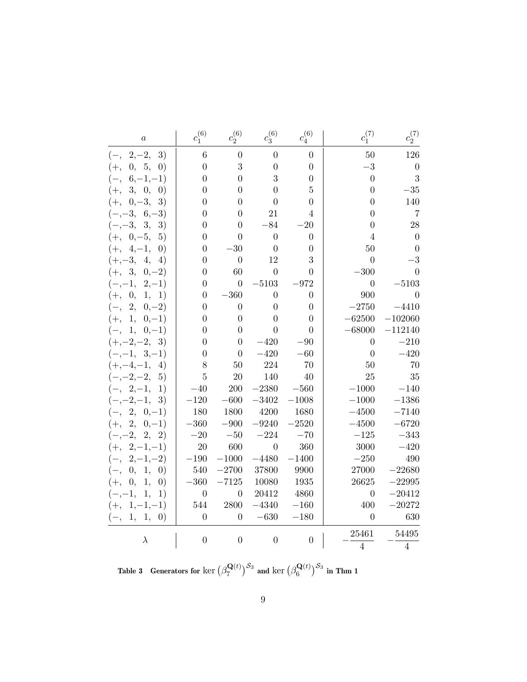| $\boldsymbol{a}$                       | $c_1^{(6)}$      | $c_2^{(6)}$      | $c_3^{(6)}$      | $c_4^{(6)}$    | $c_1^{(7)}$      | $c_2^{(7)}$      |
|----------------------------------------|------------------|------------------|------------------|----------------|------------------|------------------|
| $(-, 2,-2,$<br>3)                      | $\,6\,$          | $\overline{0}$   | $\overline{0}$   | $\overline{0}$ | 50               | 126              |
| 0, 5,<br>$\left( 0\right)$<br>$(+,$    | $\boldsymbol{0}$ | 3                | $\overline{0}$   | $\overline{0}$ | $-3$             | $\boldsymbol{0}$ |
| $6, -1, -1)$<br>$(-,$                  | $\boldsymbol{0}$ | $\overline{0}$   | 3                | $\overline{0}$ | $\boldsymbol{0}$ | 3                |
| $(+,$<br>3, 0,<br>$\left( 0\right)$    | $\overline{0}$   | $\overline{0}$   | $\overline{0}$   | 5              | $\overline{0}$   | $-35$            |
| $0, -3,$<br>$(+,$<br>3)                | $\overline{0}$   | $\overline{0}$   | $\overline{0}$   | $\theta$       | $\overline{0}$   | 140              |
| $(-,-3,$<br>$6,-3)$                    | $\overline{0}$   | $\Omega$         | 21               | 4              | 0                | $\overline{7}$   |
| $(-,-3,$<br>3,<br>3)                   | $\overline{0}$   | $\overline{0}$   | $-84$            | $-20$          | $\overline{0}$   | $\sqrt{28}$      |
| $(+, 0,-5,$<br>5)                      | $\overline{0}$   | 0                | $\overline{0}$   | $\overline{0}$ | $\overline{4}$   | $\boldsymbol{0}$ |
| $(+, 4,-1,$<br>$\left( 0\right)$       | $\overline{0}$   | $-30$            | $\overline{0}$   | 0              | $50\,$           | $\overline{0}$   |
| $(+,-3,$<br>4,<br>4)                   | $\overline{0}$   | $\overline{0}$   | 12               | 3              | $\overline{0}$   | $-3$             |
| $(+, 3,$<br>$0,-2)$                    | $\overline{0}$   | 60               | $\overline{0}$   | 0              | $-300$           | 0                |
| $2,-1)$<br>$(-,-1,$                    | $\overline{0}$   | $\boldsymbol{0}$ | $-5103$          | $-972$         | $\overline{0}$   | $-5103$          |
| $\theta$ ,<br>1, 1)<br>$(+,$           | $\boldsymbol{0}$ | $-360$           | $\overline{0}$   | $\overline{0}$ | 900              | $\overline{0}$   |
| 2,<br>$0,-2)$<br>$(-,$                 | $\overline{0}$   | $\overline{0}$   | $\overline{0}$   | $\overline{0}$ | $-2750$          | $-4410$          |
| 1,<br>$0,-1)$<br>$(+,$                 | $\overline{0}$   | $\overline{0}$   | $\overline{0}$   | $\overline{0}$ | $-62500$         | $-102060$        |
| 1,<br>$0,-1)$<br>$(-,$                 | $\boldsymbol{0}$ | $\boldsymbol{0}$ | $\overline{0}$   | $\overline{0}$ | $-68000$         | $-112140$        |
| $(+,-2,-2,$<br>3)                      | $\boldsymbol{0}$ | $\boldsymbol{0}$ | $-420$           | $-90$          | $\overline{0}$   | $-210$           |
| $3,-1)$<br>$(-,-1,$                    | $\boldsymbol{0}$ | $\boldsymbol{0}$ | $-420$           | $-60$          | $\overline{0}$   | $-420$           |
| $(+,-4,-1,$<br>4)                      | 8                | 50               | 224              | 70             | 50               | 70               |
| $(-,-2,-$<br>$-2,$<br>5)               | $\overline{5}$   | $20\,$           | 140              | 40             | 25               | 35               |
| $(-, 2,-1,$<br>1)                      | $-40$            | <b>200</b>       | $-2380$          | $-560$         | $-1000$          | $-140$           |
| $(-,-2,-1,$<br>3)                      | $-120$           | $-600\,$         | $-3402$          | $-1008$        | $-1000$          | $-1386$          |
| $(-, 2, 0,-1)$                         | 180              | 1800             | 4200             | 1680           | $-4500$          | $-7140$          |
| $(+, 2,$<br>$0,-1)$                    | $-360$           | $-900$           | $-9240$          | $-2520$        | $-4500$          | $-6720$          |
| $(-,-2,$<br>2,<br>2)                   | $-20$            | $-50$            | $-224$           | $-70$          | $-125$           | $-343$           |
| $(+, 2,-1,-1)$                         | 20               | 600              | $\boldsymbol{0}$ | 360            | 3000             | $-420$           |
| $2, -1, -2)$<br>$(-,$                  | $-190$           | $-1000$          | $-4480$          | $-1400$        | $-250$           | 490              |
| 1,<br>$\left( 0\right)$<br>0,<br>$(-,$ | 540              | $-2700$          | 37800            | 9900           | 27000            | $-22680$         |
| $(+,$<br>0,<br>1,<br>$\left( 0\right)$ | $-360$           | $-7125$          | 10080            | 1935           | 26625            | $-22995$         |
| $(-,-1,$<br>1,<br>1)                   | $\overline{0}$   | $\overline{0}$   | 20412            | 4860           | $\overline{0}$   | $-20412$         |
| $(+, 1, -1, -1)$                       | 544              | 2800             | $-4340$          | $-160$         | 400              | $-20272$         |
| 1,<br>1, 0)<br>$(-,$                   | $\overline{0}$   | $\overline{0}$   | $-630$           | $-180$         | $\overline{0}$   | 630              |
| $\lambda$                              | $\overline{0}$   | $\overline{0}$   | $\overline{0}$   | $\overline{0}$ | 25461            | 54495            |
|                                        |                  |                  |                  |                | $\overline{4}$   | $\overline{4}$   |

Table 3 Generators for  $\ker\big(\beta_7^{\mathbf{Q}(t)}\big)$  $\left( \mathsf{R}^{ \mathbf{Q}(t)}_{7} \right)^{\mathcal{S}_3}$  and  $\ker \left( \beta^{ \mathbf{Q}(t)}_{6} \right)$  $\mathbf{Q}(t) \Big) ^{\mathcal{S}_3}$  in Thm 1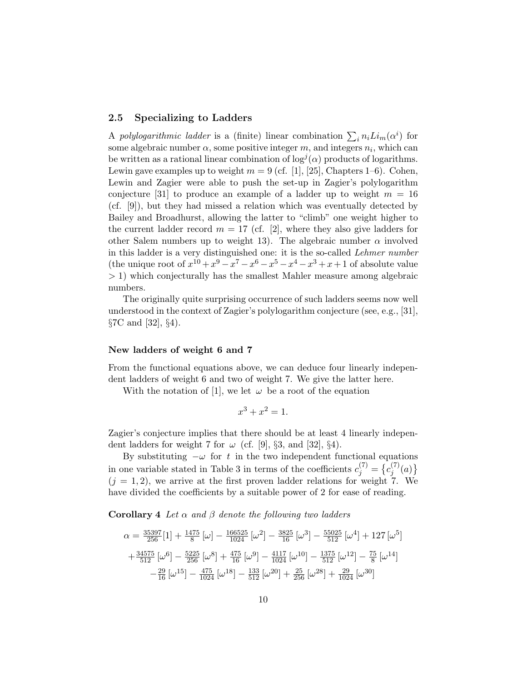#### 2.5 Specializing to Ladders

A polylogarithmic ladder is a (finite) linear combination  $\sum_i n_i L i_m(\alpha^i)$  for some algebraic number  $\alpha$ , some positive integer  $m$ , and integers  $n_i$ , which can be written as a rational linear combination of  $\log^{j}(\alpha)$  products of logarithms. Lewin gave examples up to weight  $m = 9$  (cf. [1], [25], Chapters 1–6). Cohen, Lewin and Zagier were able to push the set-up in Zagier's polylogarithm conjecture [31] to produce an example of a ladder up to weight  $m = 16$ (cf. [9]), but they had missed a relation which was eventually detected by Bailey and Broadhurst, allowing the latter to "climb" one weight higher to the current ladder record  $m = 17$  (cf. [2], where they also give ladders for other Salem numbers up to weight 13). The algebraic number  $\alpha$  involved in this ladder is a very distinguished one: it is the so-called Lehmer number (the unique root of  $x^{10} + x^9 - x^7 - x^6 - x^5 - x^4 - x^3 + x + 1$  of absolute value > 1) which conjecturally has the smallest Mahler measure among algebraic numbers.

The originally quite surprising occurrence of such ladders seems now well understood in the context of Zagier's polylogarithm conjecture (see, e.g., [31],  $\S 7C$  and  $[32], \S 4$ ).

#### New ladders of weight 6 and 7

From the functional equations above, we can deduce four linearly independent ladders of weight 6 and two of weight 7. We give the latter here.

With the notation of [1], we let  $\omega$  be a root of the equation

$$
x^3 + x^2 = 1.
$$

Zagier's conjecture implies that there should be at least 4 linearly independent ladders for weight 7 for  $\omega$  (cf. [9], §3, and [32], §4).

By substituting  $-\omega$  for t in the two independent functional equations in one variable stated in Table 3 in terms of the coefficients  $c_j^{(7)} = \{c_j^{(7)}\}$  $j^{(1)}(a)$  $(j = 1, 2)$ , we arrive at the first proven ladder relations for weight 7. We have divided the coefficients by a suitable power of 2 for ease of reading.

**Corollary 4** Let  $\alpha$  and  $\beta$  denote the following two ladders

$$
\alpha = \frac{35397}{256} [1] + \frac{1475}{8} [\omega] - \frac{166525}{1024} [\omega^2] - \frac{3825}{16} [\omega^3] - \frac{55025}{512} [\omega^4] + 127 [\omega^5]
$$
  
+ 
$$
\frac{34575}{512} [\omega^6] - \frac{5225}{256} [\omega^8] + \frac{475}{16} [\omega^9] - \frac{4117}{1024} [\omega^{10}] - \frac{1375}{512} [\omega^{12}] - \frac{75}{8} [\omega^{14}]
$$
  
- 
$$
\frac{29}{16} [\omega^{15}] - \frac{475}{1024} [\omega^{18}] - \frac{133}{512} [\omega^{20}] + \frac{25}{256} [\omega^{28}] + \frac{29}{1024} [\omega^{30}]
$$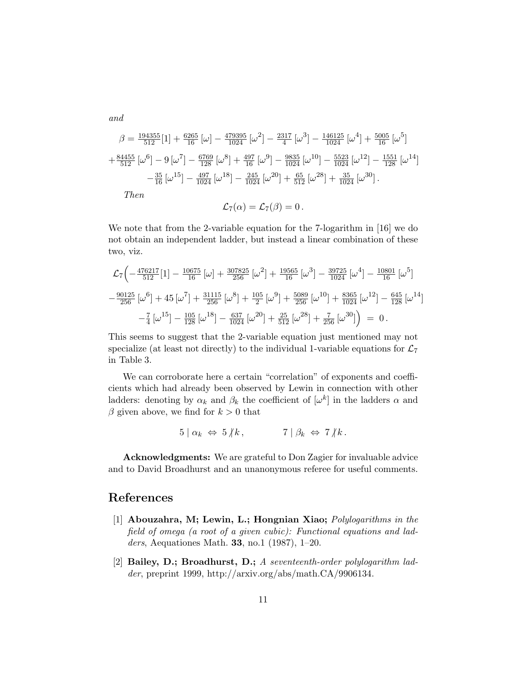and

$$
\beta = \frac{194355}{512} [1] + \frac{6265}{16} [\omega] - \frac{479395}{1024} [\omega^2] - \frac{2317}{4} [\omega^3] - \frac{146125}{1024} [\omega^4] + \frac{5005}{16} [\omega^5] + \frac{84455}{512} [\omega^6] - 9 [\omega^7] - \frac{6769}{128} [\omega^8] + \frac{497}{16} [\omega^9] - \frac{9835}{1024} [\omega^{10}] - \frac{5523}{1024} [\omega^{12}] - \frac{1551}{128} [\omega^{14}] - \frac{35}{16} [\omega^{15}] - \frac{497}{1024} [\omega^{18}] - \frac{245}{1024} [\omega^{20}] + \frac{65}{512} [\omega^{28}] + \frac{35}{1024} [\omega^{30}].
$$
  
\nThen

$$
\mathcal{L}_7(\alpha)=\mathcal{L}_7(\beta)=0\,.
$$

We note that from the 2-variable equation for the 7-logarithm in [16] we do not obtain an independent ladder, but instead a linear combination of these two, viz.

$$
\mathcal{L}_{7}\left(-\frac{476217}{512}[1] - \frac{10675}{16}[\omega] + \frac{307825}{256}[\omega^2] + \frac{19565}{16}[\omega^3] - \frac{39725}{1024}[\omega^4] - \frac{10801}{16}[\omega^5] - \frac{90125}{256}[\omega^6] + 45[\omega^7] + \frac{31115}{256}[\omega^8] + \frac{105}{2}[\omega^9] + \frac{5089}{256}[\omega^{10}] + \frac{8365}{1024}[\omega^{12}] - \frac{645}{128}[\omega^{14}] - \frac{7}{4}[\omega^{15}] - \frac{105}{128}[\omega^{18}] - \frac{637}{1024}[\omega^{20}] + \frac{25}{512}[\omega^{28}] + \frac{7}{256}[\omega^{30}] \right) = 0.
$$

This seems to suggest that the 2-variable equation just mentioned may not specialize (at least not directly) to the individual 1-variable equations for  $\mathcal{L}_7$ in Table 3.

We can corroborate here a certain "correlation" of exponents and coefficients which had already been observed by Lewin in connection with other ladders: denoting by  $\alpha_k$  and  $\beta_k$  the coefficient of  $[\omega^k]$  in the ladders  $\alpha$  and  $\beta$  given above, we find for  $k > 0$  that

$$
5 \mid \alpha_k \Leftrightarrow 5 \nmid k, \qquad 7 \mid \beta_k \Leftrightarrow 7 \nmid k.
$$

Acknowledgments: We are grateful to Don Zagier for invaluable advice and to David Broadhurst and an unanonymous referee for useful comments.

## References

- [1] Abouzahra, M; Lewin, L.; Hongnian Xiao; Polylogarithms in the field of omega (a root of a given cubic): Functional equations and ladders, Aequationes Math. 33, no.1 (1987), 1–20.
- [2] Bailey, D.; Broadhurst, D.; A seventeenth-order polylogarithm ladder, preprint 1999, http://arxiv.org/abs/math.CA/9906134.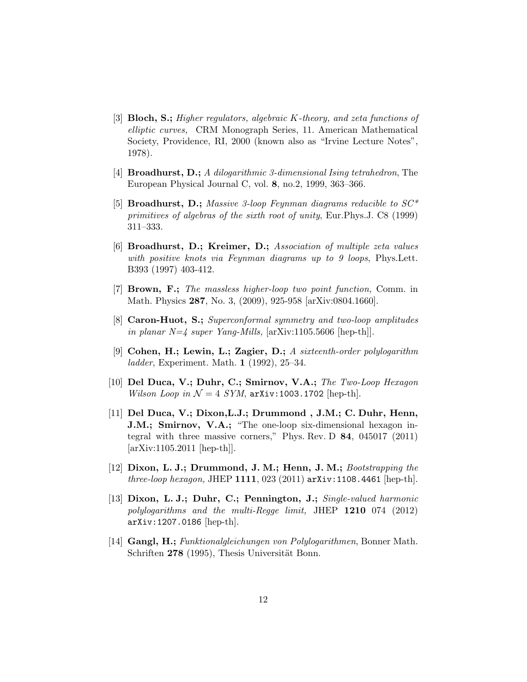- [3] **Bloch, S.;** Higher regulators, algebraic K-theory, and zeta functions of elliptic curves, CRM Monograph Series, 11. American Mathematical Society, Providence, RI, 2000 (known also as "Irvine Lecture Notes", 1978).
- [4] Broadhurst, D.; A dilogarithmic 3-dimensional Ising tetrahedron, The European Physical Journal C, vol. 8, no.2, 1999, 363–366.
- [5] **Broadhurst, D.;** Massive 3-loop Feynman diagrams reducible to  $SC^*$ primitives of algebras of the sixth root of unity, Eur.Phys.J. C8 (1999) 311–333.
- [6] Broadhurst, D.; Kreimer, D.; Association of multiple zeta values with positive knots via Feynman diagrams up to 9 loops, Phys. Lett. B393 (1997) 403-412.
- [7] Brown, F.; The massless higher-loop two point function, Comm. in Math. Physics 287, No. 3, (2009), 925-958 [arXiv:0804.1660].
- [8] Caron-Huot, S.; Superconformal symmetry and two-loop amplitudes in planar  $N=\frac{1}{4}$  super Yang-Mills, [arXiv:1105.5606 [hep-th]].
- [9] Cohen, H.; Lewin, L.; Zagier, D.; A sixteenth-order polylogarithm ladder, Experiment. Math. 1  $(1992)$ , 25–34.
- [10] Del Duca, V.; Duhr, C.; Smirnov, V.A.; The Two-Loop Hexagon Wilson Loop in  $\mathcal{N} = 4$  SYM, arXiv:1003.1702 [hep-th].
- [11] Del Duca, V.; Dixon,L.J.; Drummond , J.M.; C. Duhr, Henn, J.M.; Smirnov, V.A.; "The one-loop six-dimensional hexagon integral with three massive corners," Phys. Rev. D 84, 045017 (2011) [arXiv:1105.2011 [hep-th]].
- [12] Dixon, L. J.; Drummond, J. M.; Henn, J. M.; Bootstrapping the *three-loop hexagon, JHEP* 1111, 023 (2011)  $arXiv:1108.4461$  [hep-th].
- [13] Dixon, L. J.; Duhr, C.; Pennington, J.; Single-valued harmonic polylogarithms and the multi-Regge limit, JHEP 1210 074 (2012) arXiv:1207.0186 [hep-th].
- [14] Gangl, H.; Funktionalgleichungen von Polylogarithmen, Bonner Math. Schriften 278 (1995), Thesis Universität Bonn.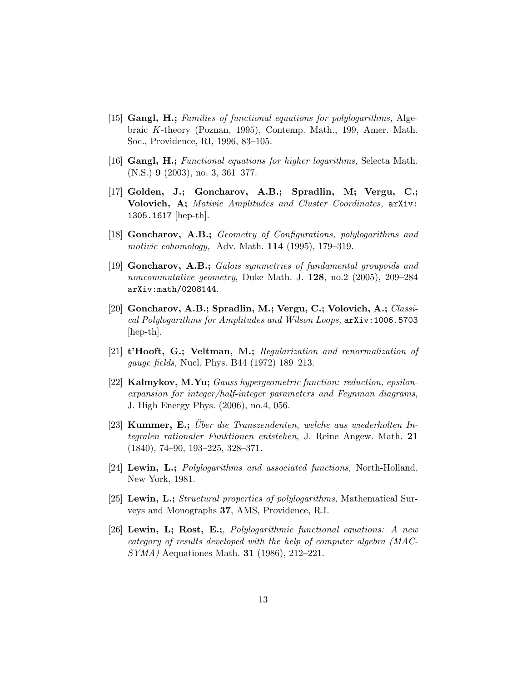- [15] Gangl, H.; Families of functional equations for polylogarithms, Algebraic K-theory (Poznan, 1995), Contemp. Math., 199, Amer. Math. Soc., Providence, RI, 1996, 83–105.
- [16] Gangl, H.; Functional equations for higher logarithms, Selecta Math. (N.S.) 9 (2003), no. 3, 361–377.
- [17] Golden, J.; Goncharov, A.B.; Spradlin, M; Vergu, C.; Volovich, A; Motivic Amplitudes and Cluster Coordinates, arXiv: 1305.1617 [hep-th].
- [18] Goncharov, A.B.; Geometry of Configurations, polylogarithms and motivic cohomology, Adv. Math. 114 (1995), 179–319.
- [19] Goncharov, A.B.; Galois symmetries of fundamental groupoids and noncommutative geometry, Duke Math. J.  $128$ , no.2 (2005), 209–284 arXiv:math/0208144.
- [20] Goncharov, A.B.; Spradlin, M.; Vergu, C.; Volovich, A.; Classical Polylogarithms for Amplitudes and Wilson Loops, arXiv:1006.5703 [hep-th].
- [21] t'Hooft, G.; Veltman, M.; Regularization and renormalization of gauge fields, Nucl. Phys. B44 (1972) 189–213.
- [22] Kalmykov, M.Yu; Gauss hypergeometric function: reduction, epsilonexpansion for integer/half-integer parameters and Feynman diagrams, J. High Energy Phys. (2006), no.4, 056.
- [23] Kummer, E.; Über die Transzendenten, welche aus wiederholten Integralen rationaler Funktionen entstehen, J. Reine Angew. Math. 21 (1840), 74–90, 193–225, 328–371.
- [24] Lewin, L.; Polylogarithms and associated functions, North-Holland, New York, 1981.
- [25] Lewin, L.; Structural properties of polylogarithms, Mathematical Surveys and Monographs 37, AMS, Providence, R.I.
- [26] Lewin, L; Rost, E.;, Polylogarithmic functional equations: A new category of results developed with the help of computer algebra (MAC-SYMA) Aequationes Math. 31 (1986), 212–221.